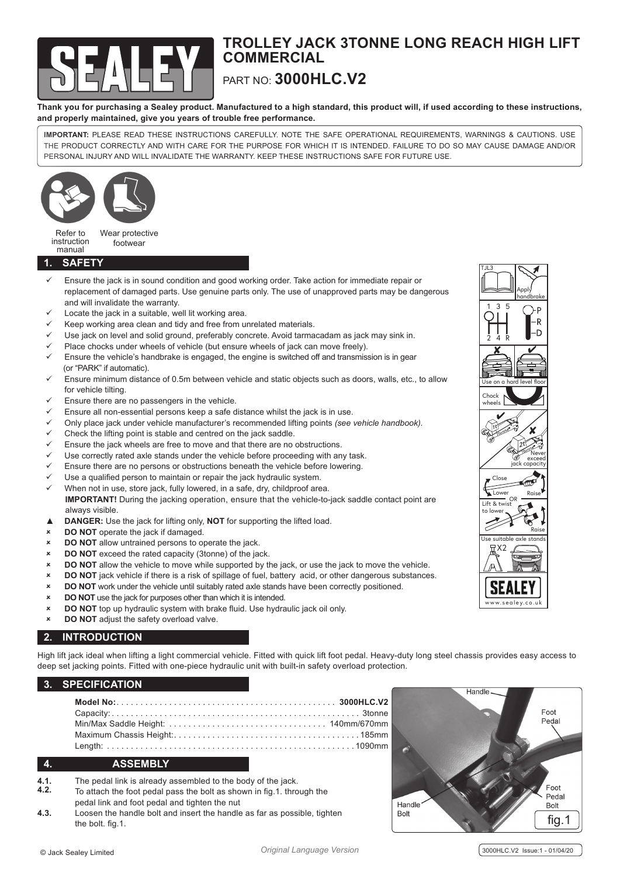

# **TROLLEY JACK 3TONNE LONG REACH HIGH LIFT COMMERCIAL** PART NO: **3000HLC.V2**

**Thank you for purchasing a Sealey product. Manufactured to a high standard, this product will, if used according to these instructions, and properly maintained, give you years of trouble free performance.**

**IMPORTANT:** PLEASE READ THESE INSTRUCTIONS CAREFULLY. NOTE THE SAFE OPERATIONAL REQUIREMENTS, WARNINGS & CAUTIONS. USE THE PRODUCT CORRECTLY AND WITH CARE FOR THE PURPOSE FOR WHICH IT IS INTENDED. FAILURE TO DO SO MAY CAUSE DAMAGE AND/OR PERSONAL INJURY AND WILL INVALIDATE THE WARRANTY. KEEP THESE INSTRUCTIONS SAFE FOR FUTURE USE.



Refer to instruction manual Wear protective footwear

#### **1. SAFETY**

- Ensure the jack is in sound condition and good working order. Take action for immediate repair or replacement of damaged parts. Use genuine parts only. The use of unapproved parts may be dangerous and will invalidate the warranty.
- Locate the jack in a suitable, well lit working area.
- Keep working area clean and tidy and free from unrelated materials.
- Use jack on level and solid ground, preferably concrete. Avoid tarmacadam as jack may sink in.
- Place chocks under wheels of vehicle (but ensure wheels of jack can move freely).
- Ensure the vehicle's handbrake is engaged, the engine is switched off and transmission is in gear (or "PARK" if automatic).
- Ensure minimum distance of 0.5m between vehicle and static objects such as doors, walls, etc., to allow for vehicle tilting.
- Ensure there are no passengers in the vehicle.
- Ensure all non-essential persons keep a safe distance whilst the jack is in use.
- 9 Only place jack under vehicle manufacturer's recommended lifting points *(see vehicle handbook).*
- Check the lifting point is stable and centred on the jack saddle.
- Ensure the jack wheels are free to move and that there are no obstructions.
- Use correctly rated axle stands under the vehicle before proceeding with any task.
- Ensure there are no persons or obstructions beneath the vehicle before lowering.
- Use a qualified person to maintain or repair the jack hydraulic system.
- When not in use, store jack, fully lowered, in a safe, dry, childproof area. **IMPORTANT!** During the jacking operation, ensure that the vehicle-to-jack saddle contact point are always visible.
- ▲ **DANGER:** Use the jack for lifting only, **NOT** for supporting the lifted load.
- 8 **DO NOT** operate the jack if damaged.
- 8 **DO NOT** allow untrained persons to operate the jack.
- 8 **DO NOT** exceed the rated capacity (3tonne) of the jack.
- 8 **DO NOT** allow the vehicle to move while supported by the jack, or use the jack to move the vehicle.
- **DO NOT** jack vehicle if there is a risk of spillage of fuel, battery acid, or other dangerous substances.
- 8 **DO NOT** work under the vehicle until suitably rated axle stands have been correctly positioned.
- 8 **DO NOT** use the jack for purposes other than which it is intended.
- 8 **DO NOT** top up hydraulic system with brake fluid. Use hydraulic jack oil only.
- 8 **DO NOT** adjust the safety overload valve.

# **2. INTRODUCTION**

High lift jack ideal when lifting a light commercial vehicle. Fitted with quick lift foot pedal. Heavy-duty long steel chassis provides easy access to deep set jacking points. Fitted with one-piece hydraulic unit with built-in safety overload protection.

# **3. SPECIFICATION**

# **4. ASSEMBLY**

- **4.1.** The pedal link is already assembled to the body of the jack.<br> **4.2.** To ottach the feat podal pass the bolt as shown in fig. 1, three
- To attach the foot pedal pass the bolt as shown in fig.1. through the pedal link and foot pedal and tighten the nut
- **4.3.** Loosen the handle bolt and insert the handle as far as possible, tighten the bolt. fig.1.  $\left\lfloor \frac{1}{2} \right\rfloor$  fig.1